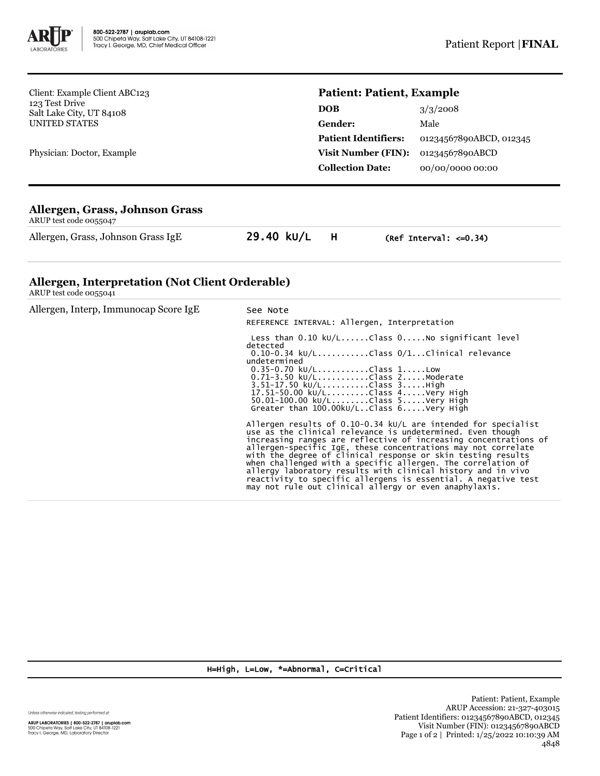

Client: Example Client ABC123 123 Test Drive Salt Lake City, UT 84108 UNITED STATES

Physician: Doctor, Example

## **Patient: Patient, Example**

| 3/3/2008                |
|-------------------------|
| Male                    |
| 01234567890ABCD, 012345 |
| 01234567890ABCD         |
| 00/00/0000 00:00        |
|                         |

## **Allergen, Grass, Johnson Grass**

ARUP test code 0055047

Allergen, Grass, Johnson Grass IgE 29.40 kU/L H (Ref Interval: <= 0.34)

## **Allergen, Interpretation (Not Client Orderable)**

ARUP test code 0055041

| Allergen, Interp, Immunocap Score IgE | See Note<br>REFERENCE INTERVAL: Allergen, Interpretation                                                                                                                                                                                                                                                                                                                                                                                                                                                                                                                                        |
|---------------------------------------|-------------------------------------------------------------------------------------------------------------------------------------------------------------------------------------------------------------------------------------------------------------------------------------------------------------------------------------------------------------------------------------------------------------------------------------------------------------------------------------------------------------------------------------------------------------------------------------------------|
|                                       | detected<br>$0.10-0.34$ kU/LClass $0/1$ Clinical relevance<br>undetermined<br>$0.35 - 0.70$ kU/LClass 1Low<br>$0.71 - 3.50$ kU/LClass 2Moderate<br>3.51-17.50 kU/LClass 3High<br>17.51-50.00 kU/LClass 4Very High<br>$50.01 - 100.00 \text{ kU/L}$ Class $5$ Very High<br>Greater than $100.00$ kU/LClass $6. \ldots$ .Very High                                                                                                                                                                                                                                                                |
|                                       | Allergen results of 0.10-0.34 $kU/L$ are intended for specialist<br>use as the clinical relevance is undetermined. Even though<br>increasing ranges are reflective of increasing concentrations of<br>allergen-specific IgE, these concentrations may not correlate<br>with the degree of clinical response or skin testing results<br>when challenged with a specific allergen. The correlation of<br>allergy laboratory results with clinical history and in vivo<br>reactivity to specific allergens is essential. A negative test<br>may not rule out clinical allergy or even anaphylaxis. |

H=High, L=Low, \*=Abnormal, C=Critical

Unless otherwise indicated, testing performed at: